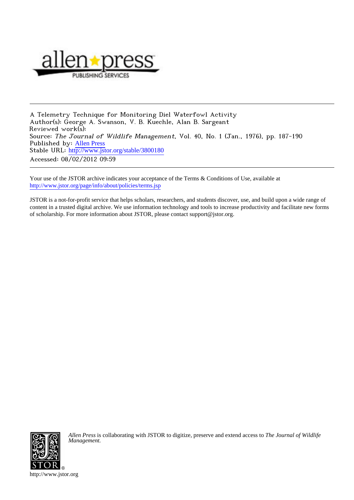

A Telemetry Technique for Monitoring Diel Waterfowl Activity Author(s): George A. Swanson, V. B. Kuechle, Alan B. Sargeant Reviewed work(s): Source: The Journal of Wildlife Management, Vol. 40, No. 1 (Jan., 1976), pp. 187-190 Published by: [Allen Press](http://www.jstor.org/action/showPublisher?publisherCode=acg) Stable URL: [http://www.jstor.org/stable/3800180](http://www.jstor.org/stable/3800180?origin=JSTOR-pdf) Accessed: 08/02/2012 09:59

Your use of the JSTOR archive indicates your acceptance of the Terms & Conditions of Use, available at <http://www.jstor.org/page/info/about/policies/terms.jsp>

JSTOR is a not-for-profit service that helps scholars, researchers, and students discover, use, and build upon a wide range of content in a trusted digital archive. We use information technology and tools to increase productivity and facilitate new forms of scholarship. For more information about JSTOR, please contact support@jstor.org.



*Allen Press* is collaborating with JSTOR to digitize, preserve and extend access to *The Journal of Wildlife Management.*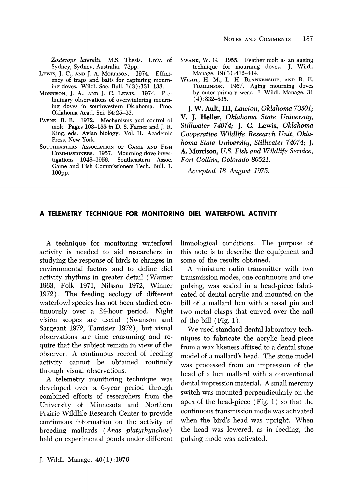**Zosterops lateralis. M.S. Thesis. Univ. of Sydney, Sydney, Australia. 73pp.** 

- LEWIS, J. C., AND J. A. MORRISON. 1974. Effici**ency of traps and baits for capturing mourning doves. Wildl. Soc. Bull. 1(3):131-138.**
- **MORRISON, J.A., AND J. C. LEWIs. 1974. Preliminary observations of overwintering mourning doves in southwestern Oklahoma. Proc. Oklahoma Acad. Sci. 54:25-33.**
- **PAYNE, R. B. 1972. Mechanisms and control of molt. Pages 103-155 in D. S. Farner and J. R. King, eds. Avian biology. Vol. II. Academic Press, New York.**
- **SOUTHEASTERN ASSOCIATION OF GAME AND FISH COMMISSIONERS. 1957. Mourning dove investigations** 1948-1956. **Game and Fish Commissioners Tech. Bull. 1. 166pp.**
- **SWANK, W. G. 1955. Feather molt as an ageing technique for mourning doves. J. Wildl. Manage. 19(3):412-414.**
- **WIGHT, H. M., L. H. BLANKENSHIP, AND R. E. TOMLINSON. 1967. Aging mourning doves by outer primary wear. J. Wildl. Manage. 31 (4):832-835.**

**J. W. Ault, III, Lawton, Oklahoma 73501; V. J. Heller, Oklahoma State University, Stillwater 74074; J. C. Lewis, Oklahoma Cooperative Wildlife Research Unit, Oklahoma State University, Stillwater 74074; J. A. Morrison, U.S. Fish and Wildlife Service, Fort Collins, Colorado 80521.** 

**Accepted 18 August 1975.** 

## **A TELEMETRY TECHNIQUE FOR MONITORING DIEL WATERFOWL ACTIVITY**

**A technique for monitoring waterfowl activity is needed to aid researchers in studying the response of birds to changes in environmental factors and to define diel activity rhythms in greater detail (Warner 1963, Folk 1971, Nilsson 1972, Winner 1972). The feeding ecology of different waterfowl species has not been studied continuously over a 24-hour period. Night vision scopes are useful (Swanson and Sargeant 1972, Tamisier 1972), but visual observations are time consuming and require that the subject remain in view of the observer. A continuous record of feeding activity cannot be obtained routinely through visual observations.** 

**A telemetry monitoring technique was developed over a 6-year period through combined efforts of researchers from the University of Minnesota and Northern Prairie Wildlife Research Center to provide continuous information on the activity of breeding mallards (Anas platyrhynchos) held on experimental ponds under different** 

**J. Wildl. Manage. 40 (1):1976** 

**limnological conditions. The purpose of this note is to describe the equipment and some of the results obtained.** 

**A miniature radio transmitter with two transmission modes, one continuous and one pulsing, was sealed in a head-piece fabricated of dental acrylic and mounted on the bill of a mallard hen with a nasal pin and two metal clasps that curved over the nail of the bill (Fig. 1).** 

**We used standard dental laboratory techniques to fabricate the acrylic head-piece from a wax likeness affixed to a dental stone model of a mallard's head. The stone model was processed from an impression of the head of a hen mallard with a conventional dental impression material. A small mercury switch was mounted perpendicularly on the apex of the head-piece (Fig. 1) so that the continuous transmission mode was activated when the bird's head was upright. When the head was lowered, as in feeding, the pulsing mode was activated.**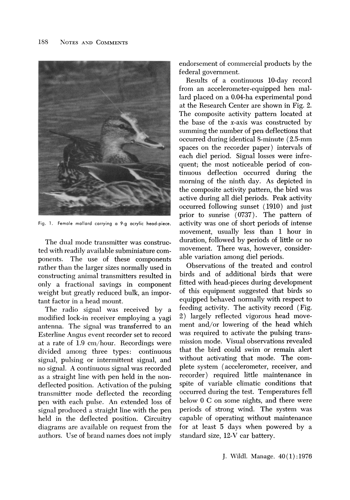

**Fig. 1. Female mallard carrying a 9-g acrylic head-piece.** 

**The dual mode transmitter was constructed with readily available subminiature components. The use of these components rather than the larger sizes normally used in constructing animal transmitters resulted in only a fractional savings in component weight but greatly reduced bulk, an important factor in a head mount.** 

**The radio signal was received by a modified lock-in receiver employing a yagi antenna. The signal was transferred to an Esterline Angus event recorder set to record at a rate of 1.9 cm/hour. Recordings were divided among three types: continuous signal, pulsing or intermittent signal, and no signal. A continuous signal was recorded as a straight line with pen held in the nondeflected position. Activation of the pulsing transmitter mode deflected the recording pen with each pulse. An extended loss of signal produced a straight line with the pen held in the deflected position. Circuitry diagrams are available on request from the authors. Use of brand names does not imply** 

**endorsement of commercial products by the federal government.** 

**Results of a continuous 10-day record from an accelerometer-equipped hen mallard placed on a 0.04-ha experimental pond at the Research Center are shown in Fig. 2. The composite activity pattern located at the base of the x-axis was constructed by summing the number of pen deflections that occurred during identical 8-minute (2.5-mm spaces on the recorder paper) intervals of each diel period. Signal losses were infrequent; the most noticeable period of continuous deflection occurred during the morning of the ninth day. As depicted in the composite activity pattern, the bird was active during all diel periods. Peak activity occurred following sunset (1910) and just prior to sunrise (0737). The pattern of activity was one of short periods of intense movement, usually less than 1 hour in duration, followed by periods of little or no movement. There was, however, considerable variation among diel periods.** 

**Observations of the treated and control birds and of additional birds that were fitted with head-pieces during development of this equipment suggested that birds so equipped behaved normally with respect to feeding activity. The activity record (Fig. 2) largely reflected vigorous head movement and/or lowering of the head which was required to activate the pulsing transmission mode. Visual observations revealed that the bird could swim or remain alert without activating that mode. The complete system (accelerometer, receiver, and recorder) required little maintenance in spite of variable climatic conditions that occurred during the test. Temperatures fell below 0 C on some nights, and there were periods of strong wind. The system was capable of operating without maintenance for at least 5 days when powered by a standard size, 12-V car battery.**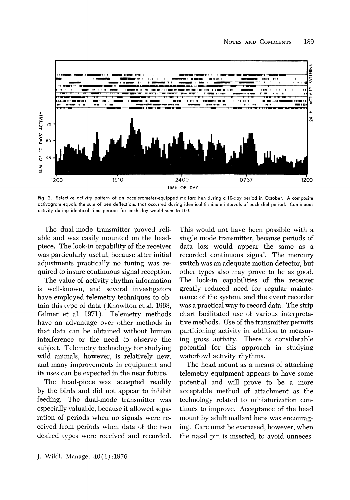

Fig. 2. Selective activity pattern of an accelerometer-equipped mallard hen during a 10-day period in October. A composite activogram equals the sum of pen deflections that occurred during identical 8-minute intervals of each diel period. Continuous activity during identical time periods for each day would sum to 100.

The dual-mode transmitter proved reliable and was easily mounted on the headpiece. The lock-in capability of the receiver was particularly useful, because after initial adjustments practically no tuning was required to insure continuous signal reception.

The value of activity rhythm information is well-known, and several investigators have employed telemetry techniques to obtain this type of data (Knowlton et al. 1968, Gilmer et al. 1971). Telemetry methods have an advantage over other methods in that data can be obtained without human interference or the need to observe the subject. Telemetry technology for studying wild animals, however, is relatively new, and many improvements in equipment and its uses can be expected in the near future.

The head-piece was accepted readily by the birds and did not appear to inhibit feeding. The dual-mode transmitter was especially valuable, because it allowed separation of periods when no signals were received from periods when data of the two desired types were received and recorded.

This would not have been possible with a single mode transmitter, because periods of data loss would appear the same as a recorded continuous signal. The mercury switch was an adequate motion detector, but other types also may prove to be as good. The lock-in capabilities of the receiver greatly reduced need for regular maintenance of the system, and the event recorder was a practical way to record data. The strip chart facilitated use of various interpretative methods. Use of the transmitter permits partitioning activity in addition to measuring gross activity. There is considerable potential for this approach in studying waterfowl activity rhythms.

The head mount as a means of attaching telemetry equipment appears to have some potential and will prove to be a more acceptable method of attachment as the technology related to miniaturization continues to improve. Acceptance of the head mount by adult mallard hens was encouraging. Care must be exercised, however, when the nasal pin is inserted, to avoid unneces